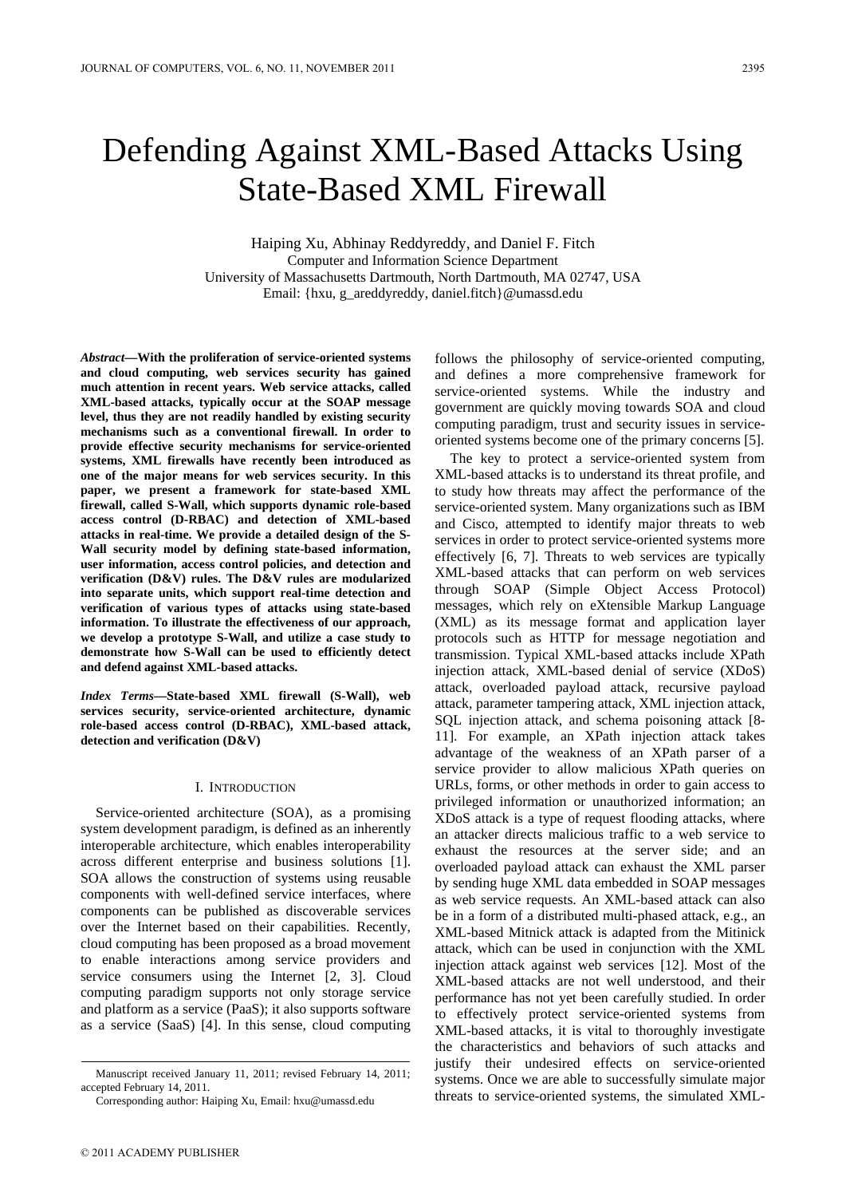# Defending Against XML-Based Attacks Using State-Based XML Firewall

Haiping Xu, Abhinay Reddyreddy, and Daniel F. Fitch Computer and Information Science Department University of Massachusetts Dartmouth, North Dartmouth, MA 02747, USA Email: {hxu, g\_areddyreddy, daniel.fitch}@umassd.edu

*Abstract***—With the proliferation of service-oriented systems and cloud computing, web services security has gained much attention in recent years. Web service attacks, called XML-based attacks, typically occur at the SOAP message level, thus they are not readily handled by existing security mechanisms such as a conventional firewall. In order to provide effective security mechanisms for service-oriented systems, XML firewalls have recently been introduced as one of the major means for web services security. In this paper, we present a framework for state-based XML firewall, called S-Wall, which supports dynamic role-based access control (D-RBAC) and detection of XML-based attacks in real-time. We provide a detailed design of the S-Wall security model by defining state-based information, user information, access control policies, and detection and verification (D&V) rules. The D&V rules are modularized into separate units, which support real-time detection and verification of various types of attacks using state-based information. To illustrate the effectiveness of our approach, we develop a prototype S-Wall, and utilize a case study to demonstrate how S-Wall can be used to efficiently detect and defend against XML-based attacks.** 

*Index Terms***—State-based XML firewall (S-Wall), web services security, service-oriented architecture, dynamic role-based access control (D-RBAC), XML-based attack, detection and verification (D&V)** 

#### I. INTRODUCTION

Service-oriented architecture (SOA), as a promising system development paradigm, is defined as an inherently interoperable architecture, which enables interoperability across different enterprise and business solutions [1]. SOA allows the construction of systems using reusable components with well-defined service interfaces, where components can be published as discoverable services over the Internet based on their capabilities. Recently, cloud computing has been proposed as a broad movement to enable interactions among service providers and service consumers using the Internet [2, 3]. Cloud computing paradigm supports not only storage service and platform as a service (PaaS); it also supports software as a service (SaaS) [4]. In this sense, cloud computing follows the philosophy of service-oriented computing, and defines a more comprehensive framework for service-oriented systems. While the industry and government are quickly moving towards SOA and cloud computing paradigm, trust and security issues in serviceoriented systems become one of the primary concerns [5].

The key to protect a service-oriented system from XML-based attacks is to understand its threat profile, and to study how threats may affect the performance of the service-oriented system. Many organizations such as IBM and Cisco, attempted to identify major threats to web services in order to protect service-oriented systems more effectively [6, 7]. Threats to web services are typically XML-based attacks that can perform on web services through SOAP (Simple Object Access Protocol) messages, which rely on eXtensible Markup Language (XML) as its message format and application layer protocols such as HTTP for message negotiation and transmission. Typical XML-based attacks include XPath injection attack, XML-based denial of service (XDoS) attack, overloaded payload attack, recursive payload attack, parameter tampering attack, XML injection attack, SQL injection attack, and schema poisoning attack [8- 11]. For example, an XPath injection attack takes advantage of the weakness of an XPath parser of a service provider to allow malicious XPath queries on URLs, forms, or other methods in order to gain access to privileged information or unauthorized information; an XDoS attack is a type of request flooding attacks, where an attacker directs malicious traffic to a web service to exhaust the resources at the server side; and an overloaded payload attack can exhaust the XML parser by sending huge XML data embedded in SOAP messages as web service requests. An XML-based attack can also be in a form of a distributed multi-phased attack, e.g., an XML-based Mitnick attack is adapted from the Mitinick attack, which can be used in conjunction with the XML injection attack against web services [12]. Most of the XML-based attacks are not well understood, and their performance has not yet been carefully studied. In order to effectively protect service-oriented systems from XML-based attacks, it is vital to thoroughly investigate the characteristics and behaviors of such attacks and justify their undesired effects on service-oriented systems. Once we are able to successfully simulate major threats to service-oriented systems, the simulated XML-

Manuscript received January 11, 2011; revised February 14, 2011; accepted February 14, 2011.

Corresponding author: Haiping Xu, Email: hxu@umassd.edu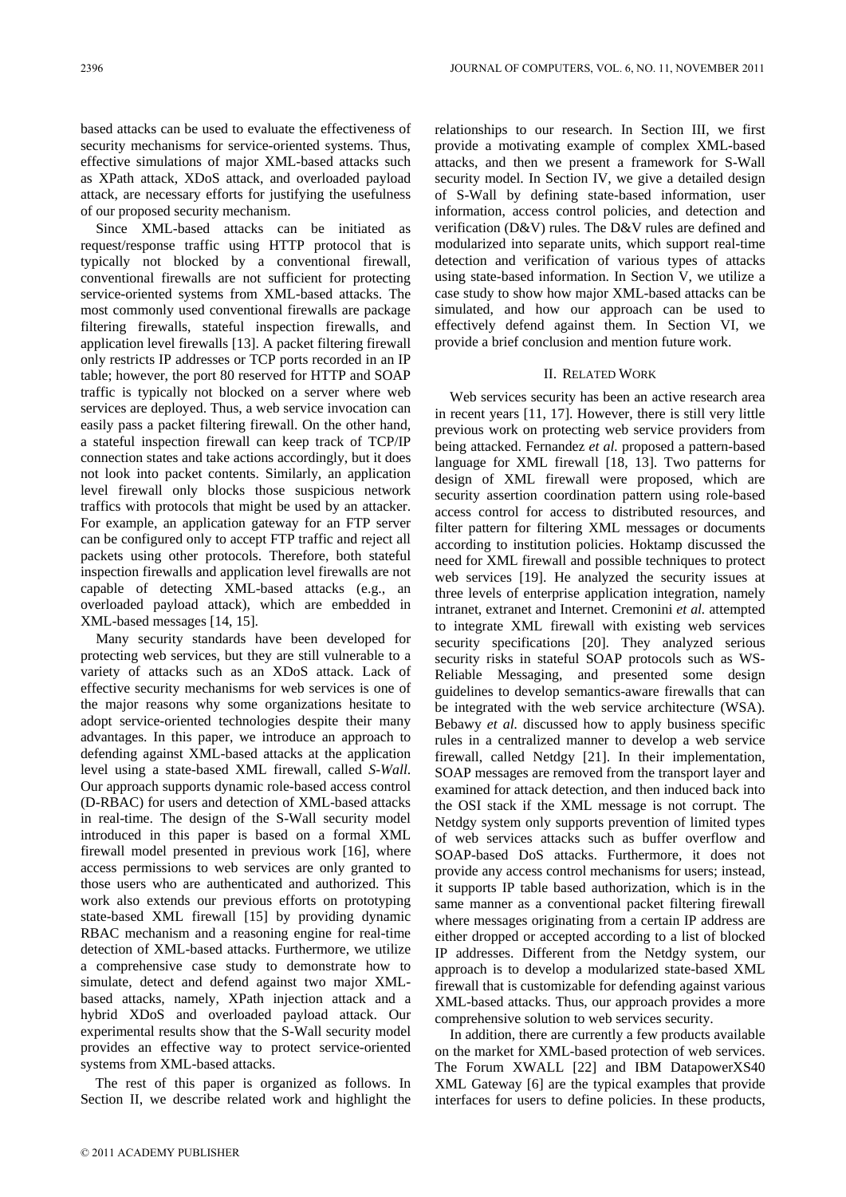based attacks can be used to evaluate the effectiveness of security mechanisms for service-oriented systems. Thus, effective simulations of major XML-based attacks such as XPath attack, XDoS attack, and overloaded payload attack, are necessary efforts for justifying the usefulness of our proposed security mechanism.

Since XML-based attacks can be initiated as request/response traffic using HTTP protocol that is typically not blocked by a conventional firewall, conventional firewalls are not sufficient for protecting service-oriented systems from XML-based attacks. The most commonly used conventional firewalls are package filtering firewalls, stateful inspection firewalls, and application level firewalls [13]. A packet filtering firewall only restricts IP addresses or TCP ports recorded in an IP table; however, the port 80 reserved for HTTP and SOAP traffic is typically not blocked on a server where web services are deployed. Thus, a web service invocation can easily pass a packet filtering firewall. On the other hand, a stateful inspection firewall can keep track of TCP/IP connection states and take actions accordingly, but it does not look into packet contents. Similarly, an application level firewall only blocks those suspicious network traffics with protocols that might be used by an attacker. For example, an application gateway for an FTP server can be configured only to accept FTP traffic and reject all packets using other protocols. Therefore, both stateful inspection firewalls and application level firewalls are not capable of detecting XML-based attacks (e.g., an overloaded payload attack), which are embedded in XML-based messages [14, 15].

Many security standards have been developed for protecting web services, but they are still vulnerable to a variety of attacks such as an XDoS attack. Lack of effective security mechanisms for web services is one of the major reasons why some organizations hesitate to adopt service-oriented technologies despite their many advantages. In this paper, we introduce an approach to defending against XML-based attacks at the application level using a state-based XML firewall, called *S-Wall*. Our approach supports dynamic role-based access control (D-RBAC) for users and detection of XML-based attacks in real-time. The design of the S-Wall security model introduced in this paper is based on a formal XML firewall model presented in previous work [16], where access permissions to web services are only granted to those users who are authenticated and authorized. This work also extends our previous efforts on prototyping state-based XML firewall [15] by providing dynamic RBAC mechanism and a reasoning engine for real-time detection of XML-based attacks. Furthermore, we utilize a comprehensive case study to demonstrate how to simulate, detect and defend against two major XMLbased attacks, namely, XPath injection attack and a hybrid XDoS and overloaded payload attack. Our experimental results show that the S-Wall security model provides an effective way to protect service-oriented systems from XML-based attacks.

The rest of this paper is organized as follows. In Section II, we describe related work and highlight the relationships to our research. In Section III, we first provide a motivating example of complex XML-based attacks, and then we present a framework for S-Wall security model. In Section IV, we give a detailed design of S-Wall by defining state-based information, user information, access control policies, and detection and verification (D&V) rules. The D&V rules are defined and modularized into separate units, which support real-time detection and verification of various types of attacks using state-based information. In Section V, we utilize a case study to show how major XML-based attacks can be simulated, and how our approach can be used to effectively defend against them. In Section VI, we provide a brief conclusion and mention future work.

### II. RELATED WORK

Web services security has been an active research area in recent years [11, 17]. However, there is still very little previous work on protecting web service providers from being attacked. Fernandez *et al.* proposed a pattern-based language for XML firewall [18, 13]. Two patterns for design of XML firewall were proposed, which are security assertion coordination pattern using role-based access control for access to distributed resources, and filter pattern for filtering XML messages or documents according to institution policies. Hoktamp discussed the need for XML firewall and possible techniques to protect web services [19]. He analyzed the security issues at three levels of enterprise application integration, namely intranet, extranet and Internet. Cremonini *et al.* attempted to integrate XML firewall with existing web services security specifications [20]. They analyzed serious security risks in stateful SOAP protocols such as WS-Reliable Messaging, and presented some design guidelines to develop semantics-aware firewalls that can be integrated with the web service architecture (WSA). Bebawy *et al.* discussed how to apply business specific rules in a centralized manner to develop a web service firewall, called Netdgy [21]. In their implementation, SOAP messages are removed from the transport layer and examined for attack detection, and then induced back into the OSI stack if the XML message is not corrupt. The Netdgy system only supports prevention of limited types of web services attacks such as buffer overflow and SOAP-based DoS attacks. Furthermore, it does not provide any access control mechanisms for users; instead, it supports IP table based authorization, which is in the same manner as a conventional packet filtering firewall where messages originating from a certain IP address are either dropped or accepted according to a list of blocked IP addresses. Different from the Netdgy system, our approach is to develop a modularized state-based XML firewall that is customizable for defending against various XML-based attacks. Thus, our approach provides a more comprehensive solution to web services security.

In addition, there are currently a few products available on the market for XML-based protection of web services. The Forum XWALL [22] and IBM DatapowerXS40 XML Gateway [6] are the typical examples that provide interfaces for users to define policies. In these products,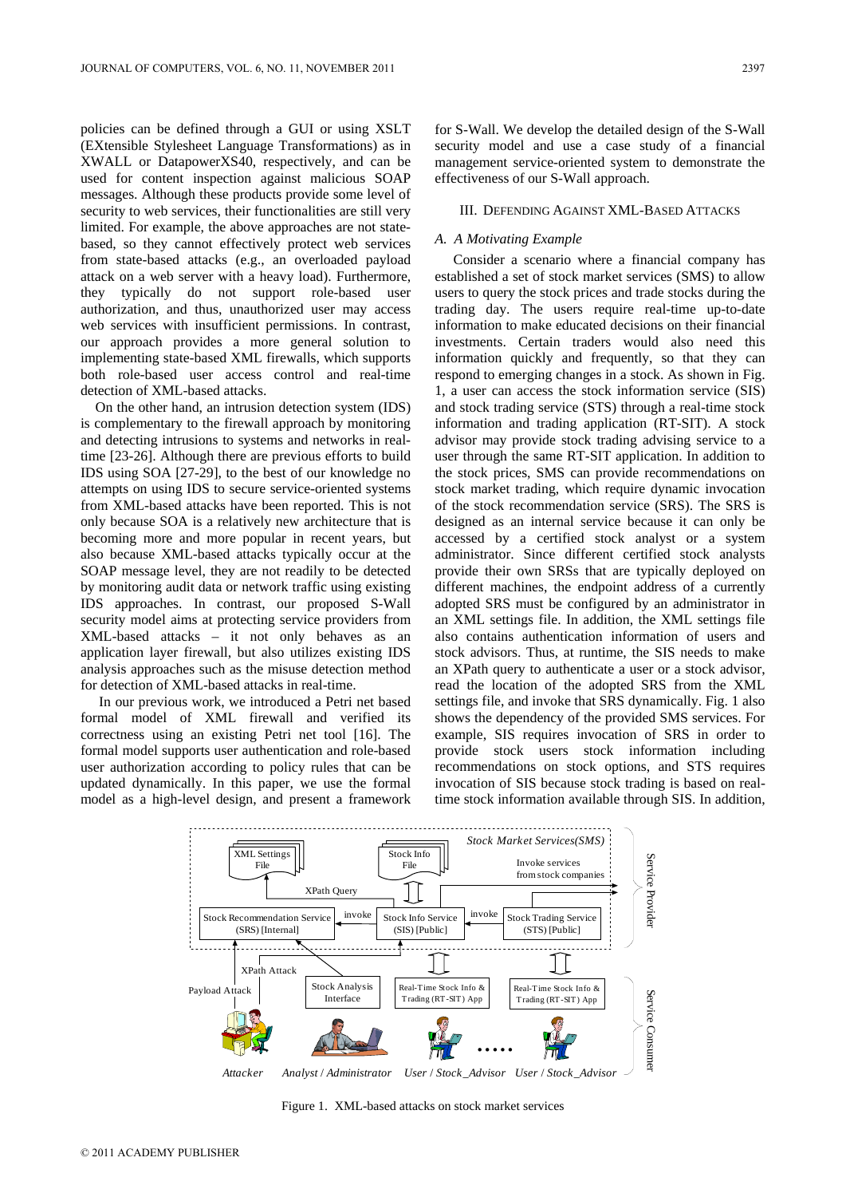policies can be defined through a GUI or using XSLT (EXtensible Stylesheet Language Transformations) as in XWALL or DatapowerXS40, respectively, and can be used for content inspection against malicious SOAP messages. Although these products provide some level of security to web services, their functionalities are still very limited. For example, the above approaches are not statebased, so they cannot effectively protect web services from state-based attacks (e.g., an overloaded payload attack on a web server with a heavy load). Furthermore, they typically do not support role-based user authorization, and thus, unauthorized user may access web services with insufficient permissions. In contrast, our approach provides a more general solution to implementing state-based XML firewalls, which supports both role-based user access control and real-time detection of XML-based attacks.

On the other hand, an intrusion detection system (IDS) is complementary to the firewall approach by monitoring and detecting intrusions to systems and networks in realtime [23-26]. Although there are previous efforts to build IDS using SOA [27-29], to the best of our knowledge no attempts on using IDS to secure service-oriented systems from XML-based attacks have been reported. This is not only because SOA is a relatively new architecture that is becoming more and more popular in recent years, but also because XML-based attacks typically occur at the SOAP message level, they are not readily to be detected by monitoring audit data or network traffic using existing IDS approaches. In contrast, our proposed S-Wall security model aims at protecting service providers from XML-based attacks – it not only behaves as an application layer firewall, but also utilizes existing IDS analysis approaches such as the misuse detection method for detection of XML-based attacks in real-time.

 In our previous work, we introduced a Petri net based formal model of XML firewall and verified its correctness using an existing Petri net tool [16]. The formal model supports user authentication and role-based user authorization according to policy rules that can be updated dynamically. In this paper, we use the formal model as a high-level design, and present a framework for S-Wall. We develop the detailed design of the S-Wall security model and use a case study of a financial management service-oriented system to demonstrate the effectiveness of our S-Wall approach.

## III. DEFENDING AGAINST XML-BASED ATTACKS

# *A. A Motivating Example*

 Consider a scenario where a financial company has established a set of stock market services (SMS) to allow users to query the stock prices and trade stocks during the trading day. The users require real-time up-to-date information to make educated decisions on their financial investments. Certain traders would also need this information quickly and frequently, so that they can respond to emerging changes in a stock. As shown in Fig. 1, a user can access the stock information service (SIS) and stock trading service (STS) through a real-time stock information and trading application (RT-SIT). A stock advisor may provide stock trading advising service to a user through the same RT-SIT application. In addition to the stock prices, SMS can provide recommendations on stock market trading, which require dynamic invocation of the stock recommendation service (SRS). The SRS is designed as an internal service because it can only be accessed by a certified stock analyst or a system administrator. Since different certified stock analysts provide their own SRSs that are typically deployed on different machines, the endpoint address of a currently adopted SRS must be configured by an administrator in an XML settings file. In addition, the XML settings file also contains authentication information of users and stock advisors. Thus, at runtime, the SIS needs to make an XPath query to authenticate a user or a stock advisor, read the location of the adopted SRS from the XML settings file, and invoke that SRS dynamically. Fig. 1 also shows the dependency of the provided SMS services. For example, SIS requires invocation of SRS in order to provide stock users stock information including recommendations on stock options, and STS requires invocation of SIS because stock trading is based on realtime stock information available through SIS. In addition,



Figure 1. XML-based attacks on stock market services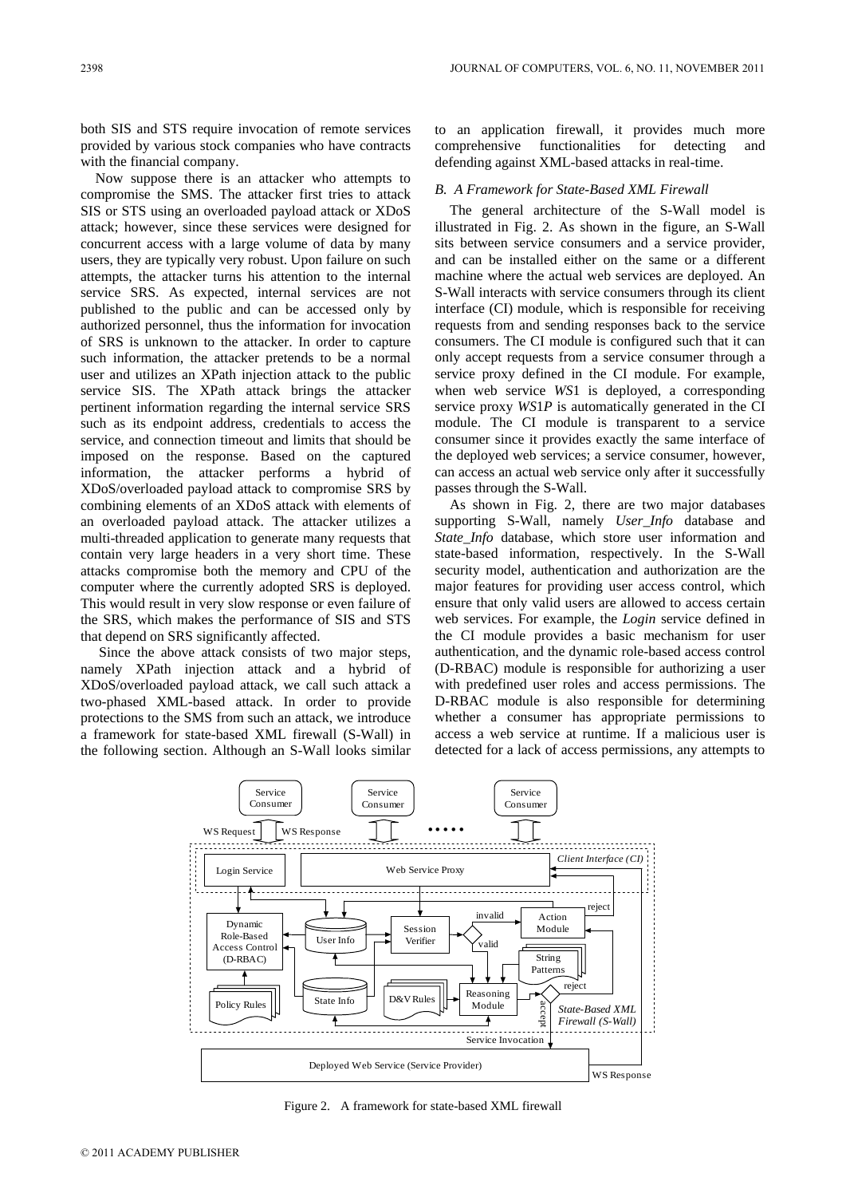both SIS and STS require invocation of remote services provided by various stock companies who have contracts with the financial company.

Now suppose there is an attacker who attempts to compromise the SMS. The attacker first tries to attack SIS or STS using an overloaded payload attack or XDoS attack; however, since these services were designed for concurrent access with a large volume of data by many users, they are typically very robust. Upon failure on such attempts, the attacker turns his attention to the internal service SRS. As expected, internal services are not published to the public and can be accessed only by authorized personnel, thus the information for invocation of SRS is unknown to the attacker. In order to capture such information, the attacker pretends to be a normal user and utilizes an XPath injection attack to the public service SIS. The XPath attack brings the attacker pertinent information regarding the internal service SRS such as its endpoint address, credentials to access the service, and connection timeout and limits that should be imposed on the response. Based on the captured information, the attacker performs a hybrid of XDoS/overloaded payload attack to compromise SRS by combining elements of an XDoS attack with elements of an overloaded payload attack. The attacker utilizes a multi-threaded application to generate many requests that contain very large headers in a very short time. These attacks compromise both the memory and CPU of the computer where the currently adopted SRS is deployed. This would result in very slow response or even failure of the SRS, which makes the performance of SIS and STS that depend on SRS significantly affected.

 Since the above attack consists of two major steps, namely XPath injection attack and a hybrid of XDoS/overloaded payload attack, we call such attack a two-phased XML-based attack. In order to provide protections to the SMS from such an attack, we introduce a framework for state-based XML firewall (S-Wall) in the following section. Although an S-Wall looks similar to an application firewall, it provides much more comprehensive functionalities for detecting and defending against XML-based attacks in real-time.

#### *B. A Framework for State-Based XML Firewall*

The general architecture of the S-Wall model is illustrated in Fig. 2. As shown in the figure, an S-Wall sits between service consumers and a service provider, and can be installed either on the same or a different machine where the actual web services are deployed. An S-Wall interacts with service consumers through its client interface (CI) module, which is responsible for receiving requests from and sending responses back to the service consumers. The CI module is configured such that it can only accept requests from a service consumer through a service proxy defined in the CI module. For example, when web service *WS*1 is deployed, a corresponding service proxy *WS*1*P* is automatically generated in the CI module. The CI module is transparent to a service consumer since it provides exactly the same interface of the deployed web services; a service consumer, however, can access an actual web service only after it successfully passes through the S-Wall.

As shown in Fig. 2, there are two major databases supporting S-Wall, namely *User\_Info* database and *State\_Info* database, which store user information and state-based information, respectively. In the S-Wall security model, authentication and authorization are the major features for providing user access control, which ensure that only valid users are allowed to access certain web services. For example, the *Login* service defined in the CI module provides a basic mechanism for user authentication, and the dynamic role-based access control (D-RBAC) module is responsible for authorizing a user with predefined user roles and access permissions. The D-RBAC module is also responsible for determining whether a consumer has appropriate permissions to access a web service at runtime. If a malicious user is detected for a lack of access permissions, any attempts to



Figure 2. A framework for state-based XML firewall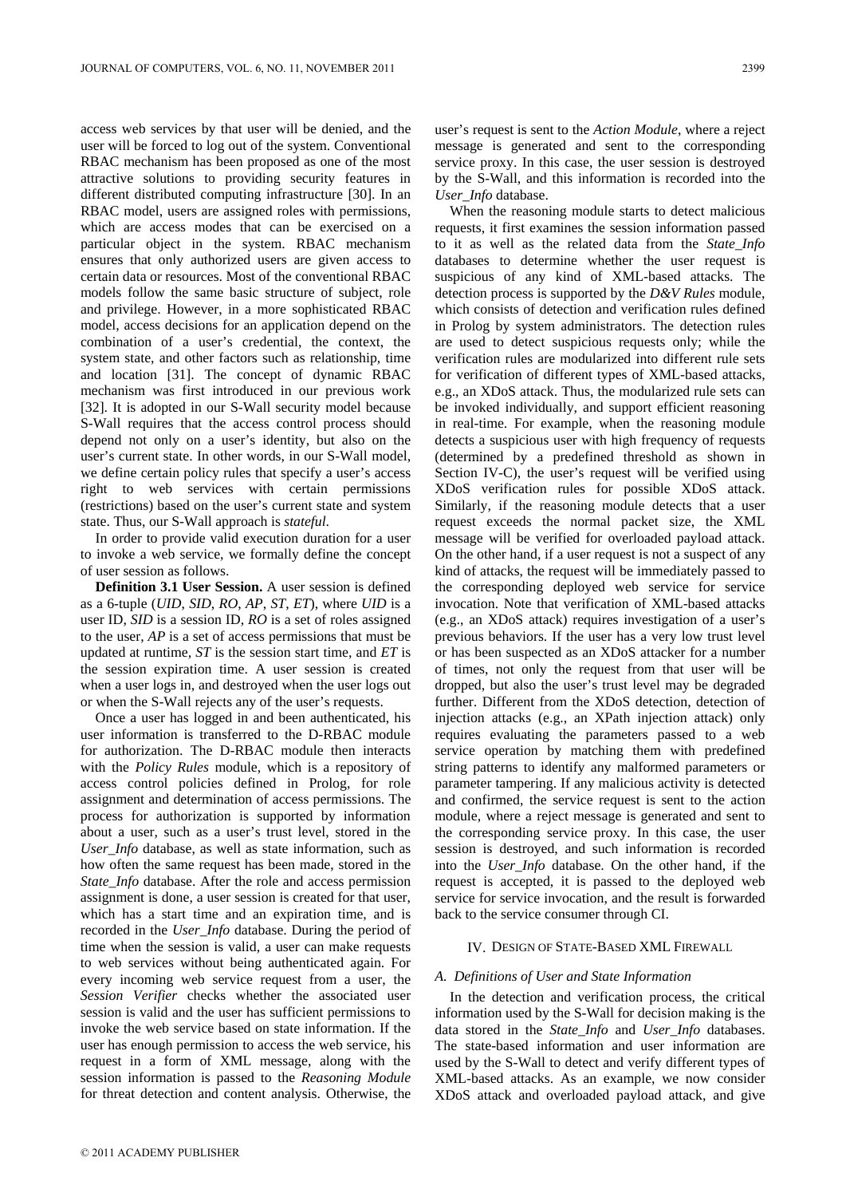access web services by that user will be denied, and the user will be forced to log out of the system. Conventional RBAC mechanism has been proposed as one of the most attractive solutions to providing security features in different distributed computing infrastructure [30]. In an RBAC model, users are assigned roles with permissions, which are access modes that can be exercised on a particular object in the system. RBAC mechanism ensures that only authorized users are given access to certain data or resources. Most of the conventional RBAC models follow the same basic structure of subject, role and privilege. However, in a more sophisticated RBAC model, access decisions for an application depend on the combination of a user's credential, the context, the system state, and other factors such as relationship, time and location [31]. The concept of dynamic RBAC mechanism was first introduced in our previous work [32]. It is adopted in our S-Wall security model because S-Wall requires that the access control process should depend not only on a user's identity, but also on the user's current state. In other words, in our S-Wall model, we define certain policy rules that specify a user's access right to web services with certain permissions (restrictions) based on the user's current state and system state. Thus, our S-Wall approach is *stateful*.

In order to provide valid execution duration for a user to invoke a web service, we formally define the concept of user session as follows.

**Definition 3.1 User Session.** A user session is defined as a 6-tuple (*UID*, *SID*, *RO*, *AP*, *ST*, *ET*), where *UID* is a user ID, *SID* is a session ID, *RO* is a set of roles assigned to the user, *AP* is a set of access permissions that must be updated at runtime, *ST* is the session start time, and *ET* is the session expiration time. A user session is created when a user logs in, and destroyed when the user logs out or when the S-Wall rejects any of the user's requests.

Once a user has logged in and been authenticated, his user information is transferred to the D-RBAC module for authorization. The D-RBAC module then interacts with the *Policy Rules* module, which is a repository of access control policies defined in Prolog, for role assignment and determination of access permissions. The process for authorization is supported by information about a user, such as a user's trust level, stored in the *User\_Info* database, as well as state information, such as how often the same request has been made, stored in the *State Info* database. After the role and access permission assignment is done, a user session is created for that user, which has a start time and an expiration time, and is recorded in the *User\_Info* database. During the period of time when the session is valid, a user can make requests to web services without being authenticated again. For every incoming web service request from a user, the *Session Verifier* checks whether the associated user session is valid and the user has sufficient permissions to invoke the web service based on state information. If the user has enough permission to access the web service, his request in a form of XML message, along with the session information is passed to the *Reasoning Module* for threat detection and content analysis. Otherwise, the

user's request is sent to the *Action Module*, where a reject message is generated and sent to the corresponding service proxy. In this case, the user session is destroyed by the S-Wall, and this information is recorded into the *User\_Info* database.

When the reasoning module starts to detect malicious requests, it first examines the session information passed to it as well as the related data from the *State\_Info*  databases to determine whether the user request is suspicious of any kind of XML-based attacks. The detection process is supported by the *D&V Rules* module, which consists of detection and verification rules defined in Prolog by system administrators. The detection rules are used to detect suspicious requests only; while the verification rules are modularized into different rule sets for verification of different types of XML-based attacks, e.g., an XDoS attack. Thus, the modularized rule sets can be invoked individually, and support efficient reasoning in real-time. For example, when the reasoning module detects a suspicious user with high frequency of requests (determined by a predefined threshold as shown in Section IV-C), the user's request will be verified using XDoS verification rules for possible XDoS attack. Similarly, if the reasoning module detects that a user request exceeds the normal packet size, the XML message will be verified for overloaded payload attack. On the other hand, if a user request is not a suspect of any kind of attacks, the request will be immediately passed to the corresponding deployed web service for service invocation. Note that verification of XML-based attacks (e.g., an XDoS attack) requires investigation of a user's previous behaviors. If the user has a very low trust level or has been suspected as an XDoS attacker for a number of times, not only the request from that user will be dropped, but also the user's trust level may be degraded further. Different from the XDoS detection, detection of injection attacks (e.g., an XPath injection attack) only requires evaluating the parameters passed to a web service operation by matching them with predefined string patterns to identify any malformed parameters or parameter tampering. If any malicious activity is detected and confirmed, the service request is sent to the action module, where a reject message is generated and sent to the corresponding service proxy. In this case, the user session is destroyed, and such information is recorded into the *User\_Info* database. On the other hand, if the request is accepted, it is passed to the deployed web service for service invocation, and the result is forwarded back to the service consumer through CI.

#### IV. DESIGN OF STATE-BASED XML FIREWALL

#### *A. Definitions of User and State Information*

In the detection and verification process, the critical information used by the S-Wall for decision making is the data stored in the *State\_Info* and *User\_Info* databases. The state-based information and user information are used by the S-Wall to detect and verify different types of XML-based attacks. As an example, we now consider XDoS attack and overloaded payload attack, and give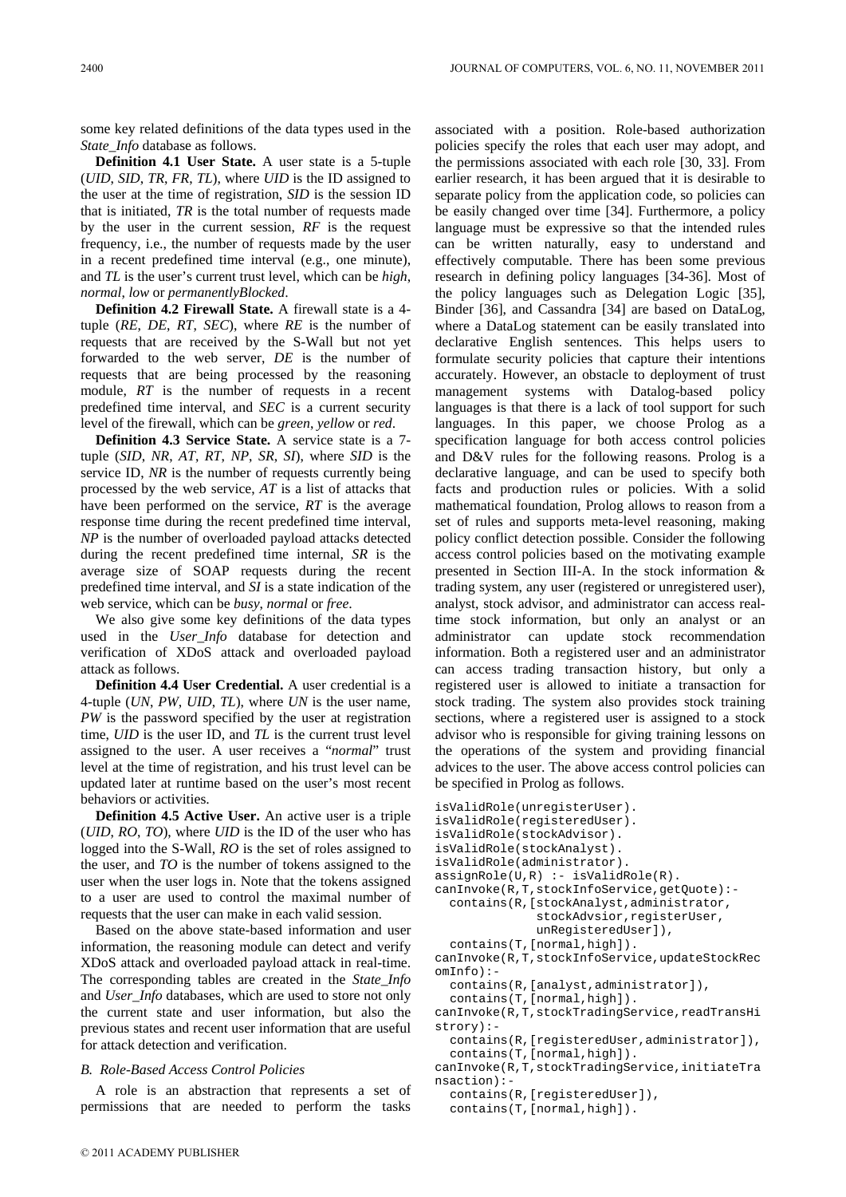some key related definitions of the data types used in the *State\_Info* database as follows.

**Definition 4.1 User State.** A user state is a 5-tuple (*UID*, *SID*, *TR*, *FR*, *TL*), where *UID* is the ID assigned to the user at the time of registration, *SID* is the session ID that is initiated, *TR* is the total number of requests made by the user in the current session, *RF* is the request frequency, i.e., the number of requests made by the user in a recent predefined time interval (e.g., one minute), and *TL* is the user's current trust level, which can be *high*, *normal*, *low* or *permanentlyBlocked*.

**Definition 4.2 Firewall State.** A firewall state is a 4 tuple (*RE*, *DE*, *RT*, *SEC*), where *RE* is the number of requests that are received by the S-Wall but not yet forwarded to the web server, *DE* is the number of requests that are being processed by the reasoning module, *RT* is the number of requests in a recent predefined time interval, and *SEC* is a current security level of the firewall, which can be *green*, *yellow* or *red*.

**Definition 4.3 Service State.** A service state is a 7 tuple (*SID*, *NR*, *AT*, *RT*, *NP*, *SR*, *SI*), where *SID* is the service ID, *NR* is the number of requests currently being processed by the web service, *AT* is a list of attacks that have been performed on the service, *RT* is the average response time during the recent predefined time interval, *NP* is the number of overloaded payload attacks detected during the recent predefined time internal, *SR* is the average size of SOAP requests during the recent predefined time interval, and *SI* is a state indication of the web service, which can be *busy*, *normal* or *free*.

We also give some key definitions of the data types used in the *User\_Info* database for detection and verification of XDoS attack and overloaded payload attack as follows.

**Definition 4.4 User Credential.** A user credential is a 4-tuple (*UN*, *PW*, *UID*, *TL*), where *UN* is the user name, *PW* is the password specified by the user at registration time, *UID* is the user ID, and *TL* is the current trust level assigned to the user. A user receives a "*normal*" trust level at the time of registration, and his trust level can be updated later at runtime based on the user's most recent behaviors or activities.

**Definition 4.5 Active User.** An active user is a triple (*UID*, *RO*, *TO*), where *UID* is the ID of the user who has logged into the S-Wall, *RO* is the set of roles assigned to the user, and *TO* is the number of tokens assigned to the user when the user logs in. Note that the tokens assigned to a user are used to control the maximal number of requests that the user can make in each valid session.

Based on the above state-based information and user information, the reasoning module can detect and verify XDoS attack and overloaded payload attack in real-time. The corresponding tables are created in the *State\_Info* and *User\_Info* databases, which are used to store not only the current state and user information, but also the previous states and recent user information that are useful for attack detection and verification.

## *B. Role-Based Access Control Policies*

A role is an abstraction that represents a set of permissions that are needed to perform the tasks

associated with a position. Role-based authorization policies specify the roles that each user may adopt, and the permissions associated with each role [30, 33]. From earlier research, it has been argued that it is desirable to separate policy from the application code, so policies can be easily changed over time [34]. Furthermore, a policy language must be expressive so that the intended rules can be written naturally, easy to understand and effectively computable. There has been some previous research in defining policy languages [34-36]. Most of the policy languages such as Delegation Logic [35], Binder [36], and Cassandra [34] are based on DataLog, where a DataLog statement can be easily translated into declarative English sentences. This helps users to formulate security policies that capture their intentions accurately. However, an obstacle to deployment of trust management systems with Datalog-based policy languages is that there is a lack of tool support for such languages. In this paper, we choose Prolog as a specification language for both access control policies and D&V rules for the following reasons. Prolog is a declarative language, and can be used to specify both facts and production rules or policies. With a solid mathematical foundation, Prolog allows to reason from a set of rules and supports meta-level reasoning, making policy conflict detection possible. Consider the following access control policies based on the motivating example presented in Section III-A. In the stock information & trading system, any user (registered or unregistered user), analyst, stock advisor, and administrator can access realtime stock information, but only an analyst or an administrator can update stock recommendation information. Both a registered user and an administrator can access trading transaction history, but only a registered user is allowed to initiate a transaction for stock trading. The system also provides stock training sections, where a registered user is assigned to a stock advisor who is responsible for giving training lessons on the operations of the system and providing financial advices to the user. The above access control policies can be specified in Prolog as follows.

```
isValidRole(unregisterUser). 
isValidRole(registeredUser). 
isValidRole(stockAdvisor). 
isValidRole(stockAnalyst). 
isValidRole(administrator). 
assignRule(U,R) :- isValidRole(R).
canInvoke(R,T,stockInfoService,getQuote):- 
   contains(R,[stockAnalyst,administrator, 
               stockAdvsior,registerUser, 
              unRegisteredUser]),
  contains(T,[normal,high]). 
canInvoke(R,T,stockInfoService,updateStockRec
omInfo):-
  contains(R,[analyst,administrator]), 
  contains(T,[normal,high]). 
canInvoke(R,T,stockTradingService,readTransHi
strory):- 
  contains(R,[registeredUser,administrator]), 
  contains(T,[normal,high]). 
canInvoke(R,T,stockTradingService,initiateTra
nsaction):- 
  contains(R,[registeredUser]), 
  contains(T,[normal,high]).
```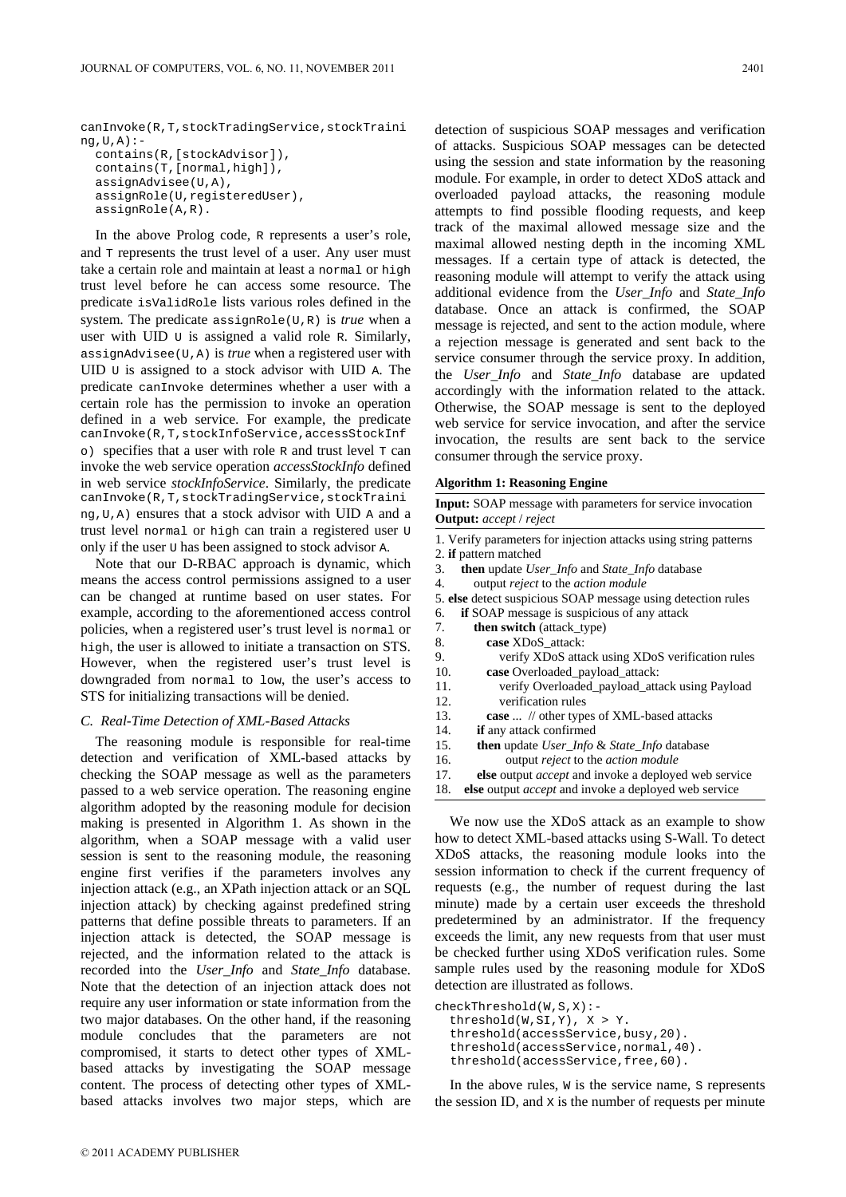canInvoke(R,T,stockTradingService,stockTraini  $nq, U, A$ ):contains(R,[stockAdvisor]), contains(T,[normal,high]), assignAdvisee(U,A), assignRole(U,registeredUser), assignRole(A,R).

In the above Prolog code, R represents a user's role, and  $T$  represents the trust level of a user. Any user must take a certain role and maintain at least a normal or high trust level before he can access some resource. The predicate isValidRole lists various roles defined in the system. The predicate assignRole(U,R) is *true* when a user with UID U is assigned a valid role R. Similarly, assignAdvisee(U,A) is *true* when a registered user with UID U is assigned to a stock advisor with UID A. The predicate canInvoke determines whether a user with a certain role has the permission to invoke an operation defined in a web service. For example, the predicate canInvoke(R,T,stockInfoService,accessStockInf  $\circ$ ) specifies that a user with role R and trust level T can invoke the web service operation *accessStockInfo* defined in web service *stockInfoService*. Similarly, the predicate canInvoke(R,T,stockTradingService,stockTraini ng,U,A) ensures that a stock advisor with UID A and a trust level normal or high can train a registered user U only if the user U has been assigned to stock advisor A.

Note that our D-RBAC approach is dynamic, which means the access control permissions assigned to a user can be changed at runtime based on user states. For example, according to the aforementioned access control policies, when a registered user's trust level is normal or high, the user is allowed to initiate a transaction on STS. However, when the registered user's trust level is downgraded from normal to low, the user's access to STS for initializing transactions will be denied.

# *C. Real-Time Detection of XML-Based Attacks*

The reasoning module is responsible for real-time detection and verification of XML-based attacks by checking the SOAP message as well as the parameters passed to a web service operation. The reasoning engine algorithm adopted by the reasoning module for decision making is presented in Algorithm 1. As shown in the algorithm, when a SOAP message with a valid user session is sent to the reasoning module, the reasoning engine first verifies if the parameters involves any injection attack (e.g., an XPath injection attack or an SQL injection attack) by checking against predefined string patterns that define possible threats to parameters. If an injection attack is detected, the SOAP message is rejected, and the information related to the attack is recorded into the *User\_Info* and *State\_Info* database. Note that the detection of an injection attack does not require any user information or state information from the two major databases. On the other hand, if the reasoning module concludes that the parameters are not compromised, it starts to detect other types of XMLbased attacks by investigating the SOAP message content. The process of detecting other types of XMLbased attacks involves two major steps, which are detection of suspicious SOAP messages and verification of attacks. Suspicious SOAP messages can be detected using the session and state information by the reasoning module. For example, in order to detect XDoS attack and overloaded payload attacks, the reasoning module attempts to find possible flooding requests, and keep track of the maximal allowed message size and the maximal allowed nesting depth in the incoming XML messages. If a certain type of attack is detected, the reasoning module will attempt to verify the attack using additional evidence from the *User\_Info* and *State\_Info* database. Once an attack is confirmed, the SOAP message is rejected, and sent to the action module, where a rejection message is generated and sent back to the service consumer through the service proxy. In addition, the *User\_Info* and *State\_Info* database are updated accordingly with the information related to the attack. Otherwise, the SOAP message is sent to the deployed web service for service invocation, and after the service invocation, the results are sent back to the service consumer through the service proxy.

|  |  | <b>Algorithm 1: Reasoning Engine</b> |  |
|--|--|--------------------------------------|--|
|--|--|--------------------------------------|--|

| <b>Input:</b> SOAP message with parameters for service invocation<br><b>Output:</b> accept / reject                                |  |  |
|------------------------------------------------------------------------------------------------------------------------------------|--|--|
| 1. Verify parameters for injection attacks using string patterns<br>2. <b>if</b> pattern matched                                   |  |  |
| <b>then</b> update <i>User_Info</i> and <i>State_Info</i> database<br>3.<br>output <i>reject</i> to the <i>action module</i><br>4. |  |  |

- 5. **else** detect suspicious SOAP message using detection rules
- 6. **if** SOAP message is suspicious of any attack
- 7. **then switch** (attack\_type) 8. **case** XDoS\_attack:
- 9. verify XDoS attack using XDoS verification rules
- 10. **case** Overloaded\_payload\_attack:
- 11. verify Overloaded\_payload\_attack using Payload 12. verification rules
- 13. **case** ... // other types of XML-based attacks
- 14. **if** any attack confirmed
- 15. **then** update *User\_Info* & *State\_Info* database
- 16. output *reject* to the *action module*
- 17. **else** output *accept* and invoke a deployed web service
- 18. **else** output *accept* and invoke a deployed web service

We now use the XDoS attack as an example to show how to detect XML-based attacks using S-Wall. To detect XDoS attacks, the reasoning module looks into the session information to check if the current frequency of requests (e.g., the number of request during the last minute) made by a certain user exceeds the threshold predetermined by an administrator. If the frequency exceeds the limit, any new requests from that user must be checked further using XDoS verification rules. Some sample rules used by the reasoning module for XDoS detection are illustrated as follows.

checkThreshold(W,S,X):-

 threshold(W,SI,Y), X > Y. threshold(accessService,busy,20). threshold(accessService,normal,40). threshold(accessService,free,60).

In the above rules,  $w$  is the service name,  $s$  represents the session ID, and X is the number of requests per minute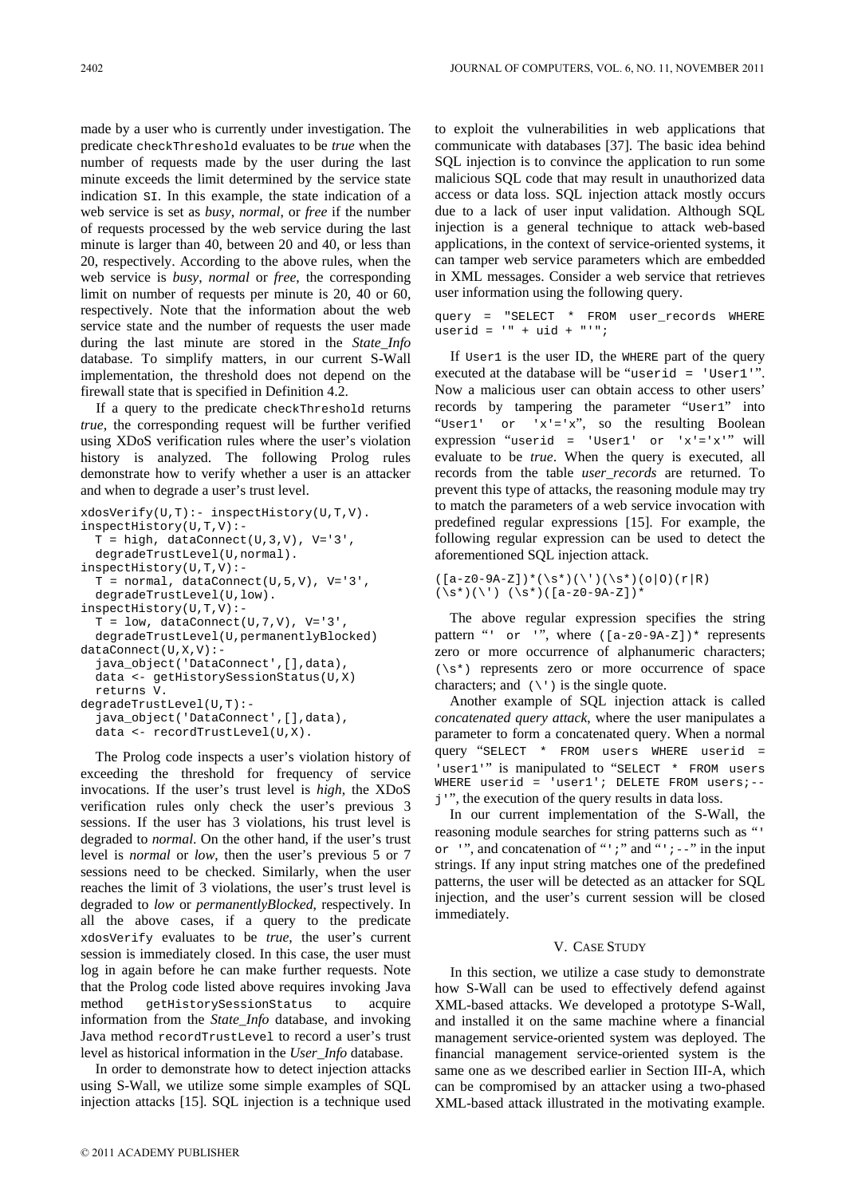made by a user who is currently under investigation. The predicate checkThreshold evaluates to be *true* when the number of requests made by the user during the last minute exceeds the limit determined by the service state indication SI. In this example, the state indication of a web service is set as *busy*, *normal*, or *free* if the number of requests processed by the web service during the last minute is larger than 40, between 20 and 40, or less than 20, respectively. According to the above rules, when the web service is *busy*, *normal* or *free*, the corresponding limit on number of requests per minute is 20, 40 or 60, respectively. Note that the information about the web service state and the number of requests the user made during the last minute are stored in the *State\_Info*  database. To simplify matters, in our current S-Wall implementation, the threshold does not depend on the firewall state that is specified in Definition 4.2.

If a query to the predicate checkThreshold returns *true*, the corresponding request will be further verified using XDoS verification rules where the user's violation history is analyzed. The following Prolog rules demonstrate how to verify whether a user is an attacker and when to degrade a user's trust level.

```
xdosVerify(U,T):- inspectHistory(U,T,V).
inspectHistory(U,T,V):- 
  T = high, dataConnect(U, 3, V), V = '3'.degradeTrustLevel(U,normal). 
inspectHistory(U,T,V):- 
  T = normal, dataConnect(U,5,V), V='3',
  degradeTrustLevel(U,low). 
inspectHistory(U,T,V):- 
  T = low, dataConnect(U,7,V), V='3',
  degradeTrustLevel(U,permanentlyBlocked) 
dataConnect(U,X,V):- 
  java_object('DataConnect',[],data), 
  data <- getHistorySessionStatus(U,X) 
  returns V. 
degradeTrustLevel(U,T):- 
  java_object('DataConnect',[],data), 
  data <- recordTrustLevel(U,X).
```
The Prolog code inspects a user's violation history of exceeding the threshold for frequency of service invocations. If the user's trust level is *high*, the XDoS verification rules only check the user's previous 3 sessions. If the user has 3 violations, his trust level is degraded to *normal*. On the other hand, if the user's trust level is *normal* or *low*, then the user's previous 5 or 7 sessions need to be checked. Similarly, when the user reaches the limit of 3 violations, the user's trust level is degraded to *low* or *permanentlyBlocked*, respectively. In all the above cases, if a query to the predicate xdosVerify evaluates to be *true*, the user's current session is immediately closed. In this case, the user must log in again before he can make further requests. Note that the Prolog code listed above requires invoking Java method getHistorySessionStatus to acquire information from the *State\_Info* database, and invoking Java method recordTrustLevel to record a user's trust level as historical information in the *User\_Info* database.

In order to demonstrate how to detect injection attacks using S-Wall, we utilize some simple examples of SQL injection attacks [15]. SQL injection is a technique used to exploit the vulnerabilities in web applications that communicate with databases [37]. The basic idea behind SQL injection is to convince the application to run some malicious SQL code that may result in unauthorized data access or data loss. SQL injection attack mostly occurs due to a lack of user input validation. Although SQL injection is a general technique to attack web-based applications, in the context of service-oriented systems, it can tamper web service parameters which are embedded in XML messages. Consider a web service that retrieves user information using the following query.

query = "SELECT \* FROM user\_records WHERE userid = '" + uid + "'";

If User1 is the user ID, the WHERE part of the query executed at the database will be "userid = 'User1'". Now a malicious user can obtain access to other users' records by tampering the parameter "User1" into "User1' or 'x'='x", so the resulting Boolean expression "userid = 'User1' or 'x'='x'" will evaluate to be *true*. When the query is executed, all records from the table *user\_records* are returned. To prevent this type of attacks, the reasoning module may try to match the parameters of a web service invocation with predefined regular expressions [15]. For example, the following regular expression can be used to detect the aforementioned SQL injection attack.

```
([a-z0-9A-Z])*(\s*)(\l\;)(s*)(o|0)(r|R)(\succeq s^*)(\') (\succeq s^*)([a-z0-9A-Z])^*
```
The above regular expression specifies the string pattern " $\cdot$  or  $\cdot$ ", where  $([a-z0-9A-Z])$  represents zero or more occurrence of alphanumeric characters;  $(\succeq s^*)$  represents zero or more occurrence of space characters; and  $(\n\vee)$  is the single quote.

Another example of SQL injection attack is called *concatenated query attack*, where the user manipulates a parameter to form a concatenated query. When a normal query "SELECT \* FROM users WHERE userid = 'user1'" is manipulated to "SELECT \* FROM users WHERE userid = 'user1'; DELETE FROM users;-j'", the execution of the query results in data loss.

In our current implementation of the S-Wall, the reasoning module searches for string patterns such as "' or '", and concatenation of "';" and "'; $-$ -" in the input strings. If any input string matches one of the predefined patterns, the user will be detected as an attacker for SQL injection, and the user's current session will be closed immediately.

# V. CASE STUDY

In this section, we utilize a case study to demonstrate how S-Wall can be used to effectively defend against XML-based attacks. We developed a prototype S-Wall, and installed it on the same machine where a financial management service-oriented system was deployed. The financial management service-oriented system is the same one as we described earlier in Section III-A, which can be compromised by an attacker using a two-phased XML-based attack illustrated in the motivating example.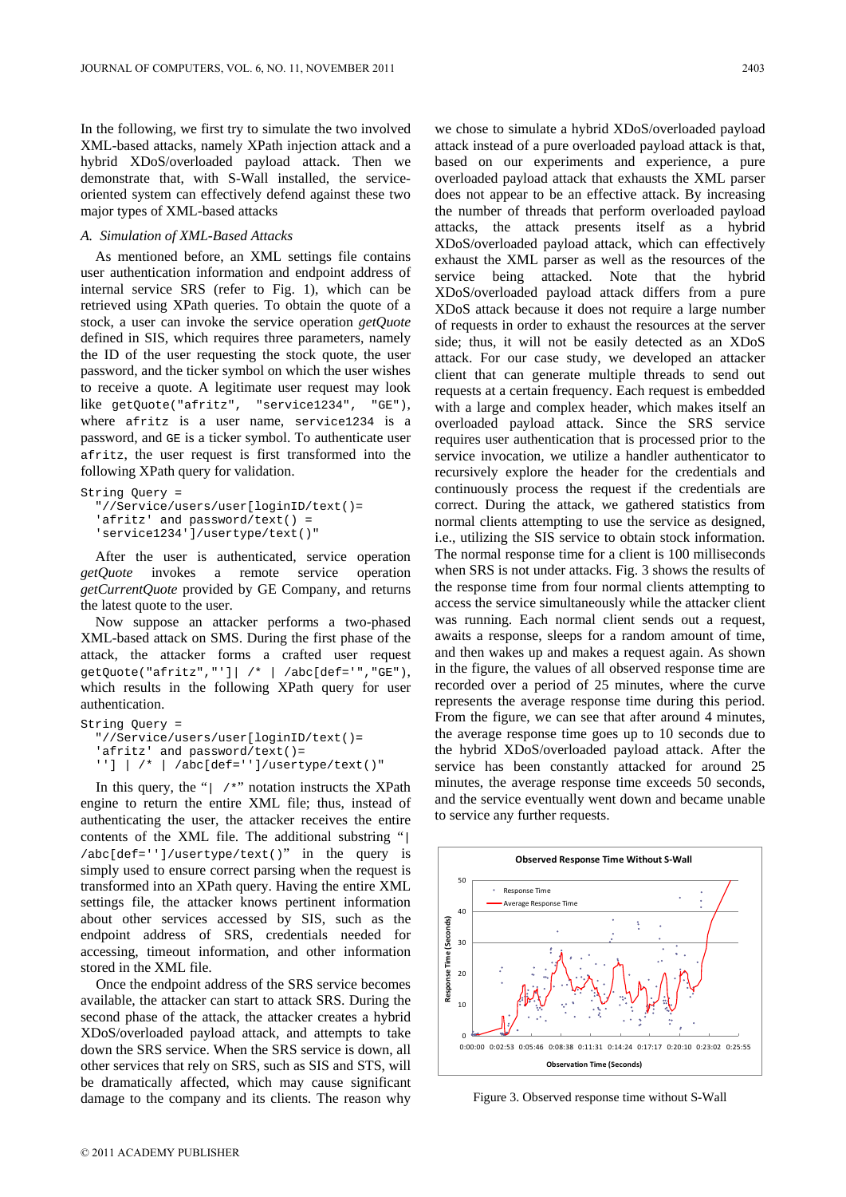In the following, we first try to simulate the two involved XML-based attacks, namely XPath injection attack and a hybrid XDoS/overloaded payload attack. Then we demonstrate that, with S-Wall installed, the serviceoriented system can effectively defend against these two major types of XML-based attacks

## *A. Simulation of XML-Based Attacks*

As mentioned before, an XML settings file contains user authentication information and endpoint address of internal service SRS (refer to Fig. 1), which can be retrieved using XPath queries. To obtain the quote of a stock, a user can invoke the service operation *getQuote* defined in SIS, which requires three parameters, namely the ID of the user requesting the stock quote, the user password, and the ticker symbol on which the user wishes to receive a quote. A legitimate user request may look like getQuote("afritz", "service1234", "GE"), where afritz is a user name, service1234 is a password, and GE is a ticker symbol. To authenticate user afritz, the user request is first transformed into the following XPath query for validation.

```
String Query =
```

```
 "//Service/users/user[loginID/text()= 
 'afritz' and password/text() = 
 'service1234']/usertype/text()"
```
After the user is authenticated, service operation *getQuote* invokes a remote service operation *getCurrentQuote* provided by GE Company, and returns the latest quote to the user.

Now suppose an attacker performs a two-phased XML-based attack on SMS. During the first phase of the attack, the attacker forms a crafted user request getQuote("afritz","']| /\* | /abc[def='","GE"), which results in the following XPath query for user authentication.

```
String Query = 
   "//Service/users/user[loginID/text()= 
   'afritz' and password/text()= 
   ''] | /* | /abc[def='']/usertype/text()"
```
In this query, the " $|$  /\*" notation instructs the XPath engine to return the entire XML file; thus, instead of authenticating the user, the attacker receives the entire contents of the XML file. The additional substring "| /abc[def='']/usertype/text()" in the query is simply used to ensure correct parsing when the request is transformed into an XPath query. Having the entire XML settings file, the attacker knows pertinent information about other services accessed by SIS, such as the endpoint address of SRS, credentials needed for accessing, timeout information, and other information stored in the XML file.

Once the endpoint address of the SRS service becomes available, the attacker can start to attack SRS. During the second phase of the attack, the attacker creates a hybrid XDoS/overloaded payload attack, and attempts to take down the SRS service. When the SRS service is down, all other services that rely on SRS, such as SIS and STS, will be dramatically affected, which may cause significant damage to the company and its clients. The reason why we chose to simulate a hybrid XDoS/overloaded payload attack instead of a pure overloaded payload attack is that, based on our experiments and experience, a pure overloaded payload attack that exhausts the XML parser does not appear to be an effective attack. By increasing the number of threads that perform overloaded payload attacks, the attack presents itself as a hybrid XDoS/overloaded payload attack, which can effectively exhaust the XML parser as well as the resources of the service being attacked. Note that the hybrid XDoS/overloaded payload attack differs from a pure XDoS attack because it does not require a large number of requests in order to exhaust the resources at the server side; thus, it will not be easily detected as an XDoS attack. For our case study, we developed an attacker client that can generate multiple threads to send out requests at a certain frequency. Each request is embedded with a large and complex header, which makes itself an overloaded payload attack. Since the SRS service requires user authentication that is processed prior to the service invocation, we utilize a handler authenticator to recursively explore the header for the credentials and continuously process the request if the credentials are correct. During the attack, we gathered statistics from normal clients attempting to use the service as designed, i.e., utilizing the SIS service to obtain stock information. The normal response time for a client is 100 milliseconds when SRS is not under attacks. Fig. 3 shows the results of the response time from four normal clients attempting to access the service simultaneously while the attacker client was running. Each normal client sends out a request, awaits a response, sleeps for a random amount of time, and then wakes up and makes a request again. As shown in the figure, the values of all observed response time are recorded over a period of 25 minutes, where the curve represents the average response time during this period. From the figure, we can see that after around 4 minutes, the average response time goes up to 10 seconds due to the hybrid XDoS/overloaded payload attack. After the service has been constantly attacked for around 25 minutes, the average response time exceeds 50 seconds, and the service eventually went down and became unable to service any further requests.



Figure 3. Observed response time without S-Wall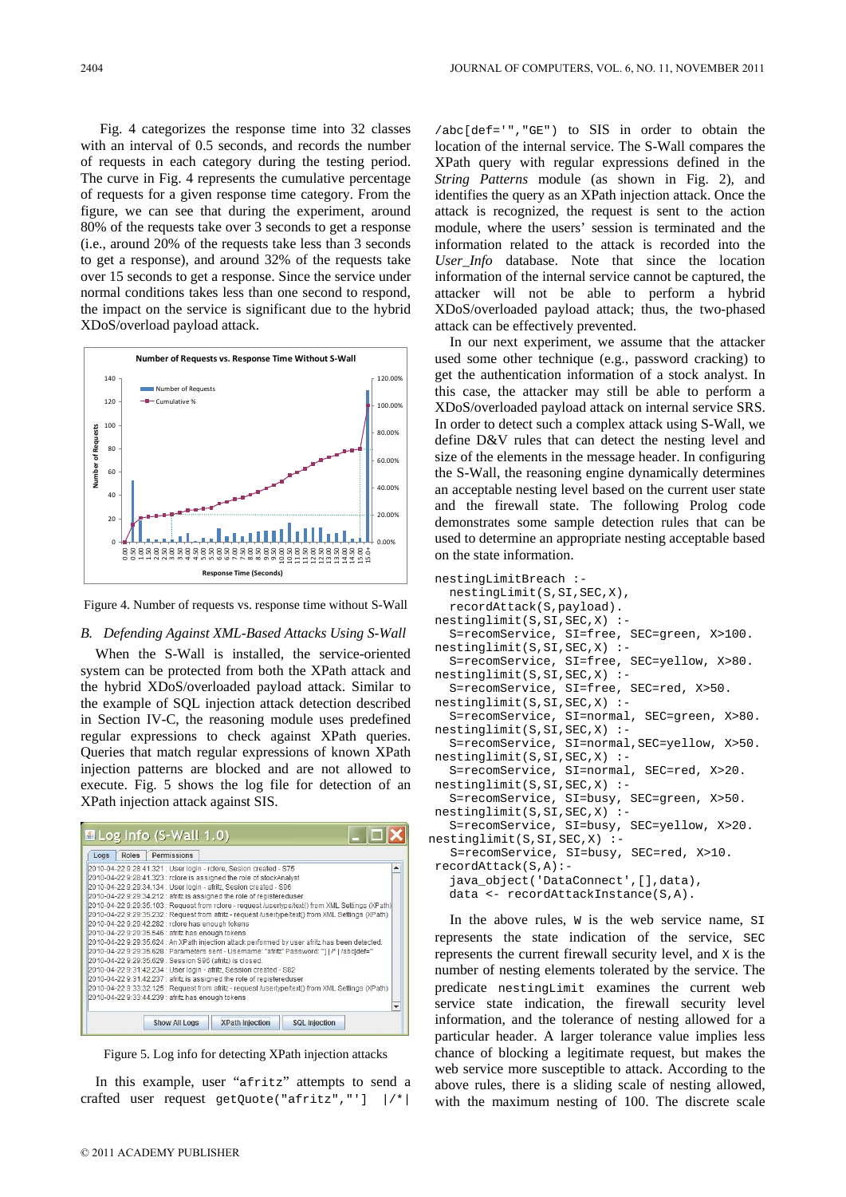Fig. 4 categorizes the response time into 32 classes with an interval of 0.5 seconds, and records the number of requests in each category during the testing period. The curve in Fig. 4 represents the cumulative percentage of requests for a given response time category. From the figure, we can see that during the experiment, around 80% of the requests take over 3 seconds to get a response (i.e., around 20% of the requests take less than 3 seconds to get a response), and around 32% of the requests take over 15 seconds to get a response. Since the service under normal conditions takes less than one second to respond, the impact on the service is significant due to the hybrid XDoS/overload payload attack.



Figure 4. Number of requests vs. response time without S-Wall

# *B. Defending Against XML-Based Attacks Using S-Wall*

When the S-Wall is installed, the service-oriented system can be protected from both the XPath attack and the hybrid XDoS/overloaded payload attack. Similar to the example of SQL injection attack detection described in Section IV-C, the reasoning module uses predefined regular expressions to check against XPath queries. Queries that match regular expressions of known XPath injection patterns are blocked and are not allowed to execute. Fig. 5 shows the log file for detection of an XPath injection attack against SIS.



Figure 5. Log info for detecting XPath injection attacks

In this example, user "afritz" attempts to send a crafted user request getQuote("afritz","'] |/\*|

/abc[def='","GE") to SIS in order to obtain the location of the internal service. The S-Wall compares the XPath query with regular expressions defined in the *String Patterns* module (as shown in Fig. 2), and identifies the query as an XPath injection attack. Once the attack is recognized, the request is sent to the action module, where the users' session is terminated and the information related to the attack is recorded into the *User\_Info* database. Note that since the location information of the internal service cannot be captured, the attacker will not be able to perform a hybrid XDoS/overloaded payload attack; thus, the two-phased attack can be effectively prevented.

In our next experiment, we assume that the attacker used some other technique (e.g., password cracking) to get the authentication information of a stock analyst. In this case, the attacker may still be able to perform a XDoS/overloaded payload attack on internal service SRS. In order to detect such a complex attack using S-Wall, we define D&V rules that can detect the nesting level and size of the elements in the message header. In configuring the S-Wall, the reasoning engine dynamically determines an acceptable nesting level based on the current user state and the firewall state. The following Prolog code demonstrates some sample detection rules that can be used to determine an appropriate nesting acceptable based on the state information.

```
nestingLimitBreach :- 
    nestingLimit(S,SI,SEC,X), 
    recordAttack(S,payload). 
nestinglimit(S,SI,SEC,X) :- 
    S=recomService, SI=free, SEC=green, X>100. 
nestinglimit(S,SI,SEC,X) :- 
    S=recomService, SI=free, SEC=yellow, X>80. 
nestinglimit(S,SI,SEC,X) :- 
    S=recomService, SI=free, SEC=red, X>50. 
nestinglimit(S,SI,SEC,X) :- 
    S=recomService, SI=normal, SEC=green, X>80. 
nestinglimit(S,SI,SEC,X) :- 
    S=recomService, SI=normal,SEC=yellow, X>50. 
nestinglimit(S,SI,SEC,X) :- 
    S=recomService, SI=normal, SEC=red, X>20. 
nestinglimit(S,SI,SEC,X) :- 
    S=recomService, SI=busy, SEC=green, X>50. 
nestinglimit(S,SI,SEC,X) :- 
    S=recomService, SI=busy, SEC=yellow, X>20. 
nestinglimit(S,SI,SEC,X) :- 
    S=recomService, SI=busy, SEC=red, X>10. 
recordAttack(S,A):- 
    java_object('DataConnect',[],data), 
    data <- recordAttackInstance(S,A).
```
In the above rules,  $w$  is the web service name,  $\text{SI}$ represents the state indication of the service, SEC represents the current firewall security level, and X is the number of nesting elements tolerated by the service. The predicate nestingLimit examines the current web service state indication, the firewall security level information, and the tolerance of nesting allowed for a particular header. A larger tolerance value implies less chance of blocking a legitimate request, but makes the web service more susceptible to attack. According to the above rules, there is a sliding scale of nesting allowed, with the maximum nesting of 100. The discrete scale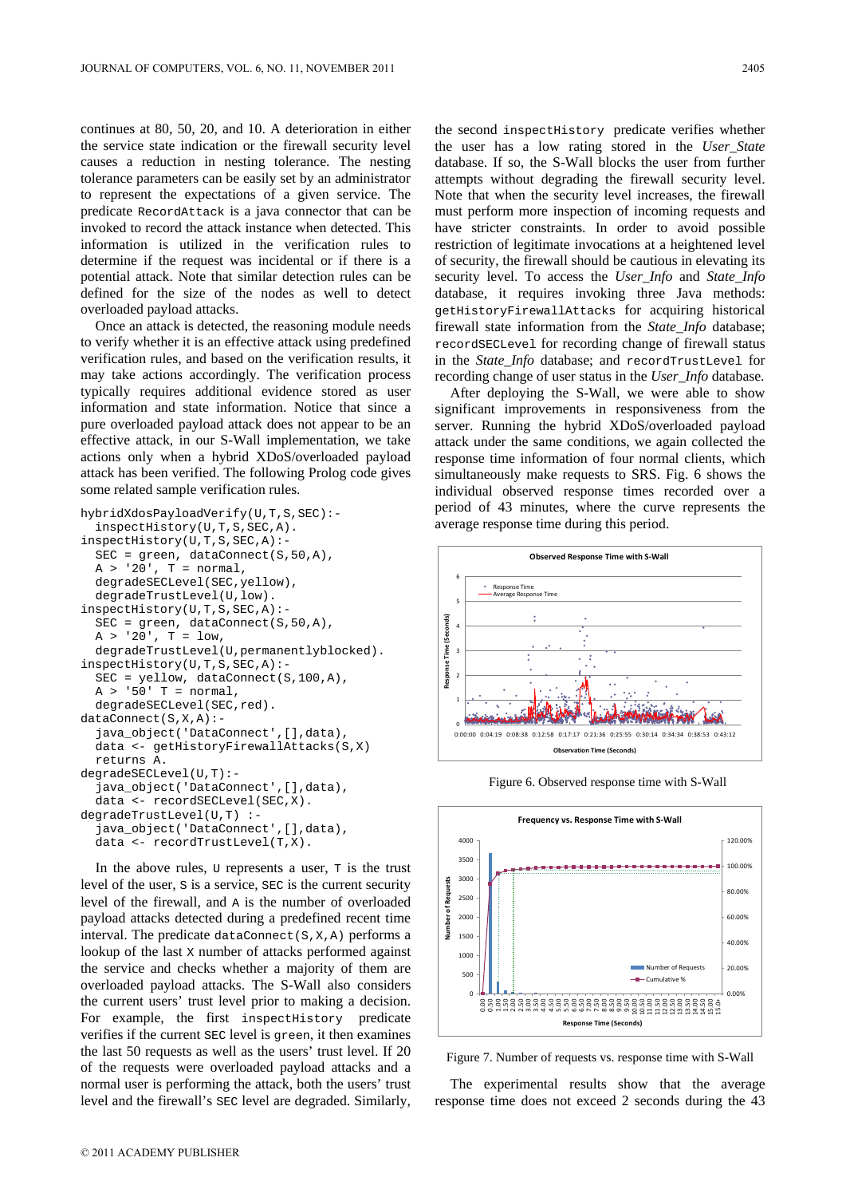continues at 80, 50, 20, and 10. A deterioration in either the service state indication or the firewall security level causes a reduction in nesting tolerance. The nesting tolerance parameters can be easily set by an administrator to represent the expectations of a given service. The predicate RecordAttack is a java connector that can be invoked to record the attack instance when detected. This information is utilized in the verification rules to determine if the request was incidental or if there is a potential attack. Note that similar detection rules can be defined for the size of the nodes as well to detect overloaded payload attacks.

Once an attack is detected, the reasoning module needs to verify whether it is an effective attack using predefined verification rules, and based on the verification results, it may take actions accordingly. The verification process typically requires additional evidence stored as user information and state information. Notice that since a pure overloaded payload attack does not appear to be an effective attack, in our S-Wall implementation, we take actions only when a hybrid XDoS/overloaded payload attack has been verified. The following Prolog code gives some related sample verification rules.

```
hybridXdosPayloadVerify(U,T,S,SEC):- 
   inspectHistory(U,T,S,SEC,A). 
inspectHistory(U,T,S,SEC,A):- 
  SEC = green, dataConnect(S, 50, A),A > '20', T = normal,
  degradeSECLevel(SEC,yellow), 
  degradeTrustLevel(U,low). 
inspectHistory(U,T,S,SEC,A):- 
  SEC = green, dataConnect(S,50,A), 
  A > '20', T = 1ow,
  degradeTrustLevel(U,permanentlyblocked). 
inspectHistory(U,T,S,SEC,A):- 
  SEC = yellow, dataConnect(S,100,A), 
  A > '50' T = normal,
  degradeSECLevel(SEC,red). 
dataConnect(S,X,A):- 
  java_object('DataConnect',[],data), 
  data <- getHistoryFirewallAttacks(S,X) 
  returns A. 
degradeSECLevel(U,T):- 
  java_object('DataConnect',[],data), 
  data <- recordSECLevel(SEC,X). 
degradeTrustLevel(U,T) :- 
  java_object('DataConnect',[],data), 
  data <- recordTrustLevel(T,X).
```
In the above rules,  $\upsilon$  represents a user,  $\upsilon$  is the trust level of the user, S is a service, SEC is the current security level of the firewall, and A is the number of overloaded payload attacks detected during a predefined recent time interval. The predicate dataConnect( $S, X, A$ ) performs a lookup of the last x number of attacks performed against the service and checks whether a majority of them are overloaded payload attacks. The S-Wall also considers the current users' trust level prior to making a decision. For example, the first inspectHistory predicate verifies if the current SEC level is green, it then examines the last 50 requests as well as the users' trust level. If 20 of the requests were overloaded payload attacks and a normal user is performing the attack, both the users' trust level and the firewall's SEC level are degraded. Similarly,

the second inspectHistory predicate verifies whether the user has a low rating stored in the *User\_State* database. If so, the S-Wall blocks the user from further attempts without degrading the firewall security level. Note that when the security level increases, the firewall must perform more inspection of incoming requests and have stricter constraints. In order to avoid possible restriction of legitimate invocations at a heightened level of security, the firewall should be cautious in elevating its security level. To access the *User\_Info* and *State\_Info* database, it requires invoking three Java methods: getHistoryFirewallAttacks for acquiring historical firewall state information from the *State\_Info* database; recordSECLevel for recording change of firewall status in the *State\_Info* database; and recordTrustLevel for recording change of user status in the *User\_Info* database.

After deploying the S-Wall, we were able to show significant improvements in responsiveness from the server. Running the hybrid XDoS/overloaded payload attack under the same conditions, we again collected the response time information of four normal clients, which simultaneously make requests to SRS. Fig. 6 shows the individual observed response times recorded over a period of 43 minutes, where the curve represents the average response time during this period.



Figure 6. Observed response time with S-Wall



Figure 7. Number of requests vs. response time with S-Wall

The experimental results show that the average response time does not exceed 2 seconds during the 43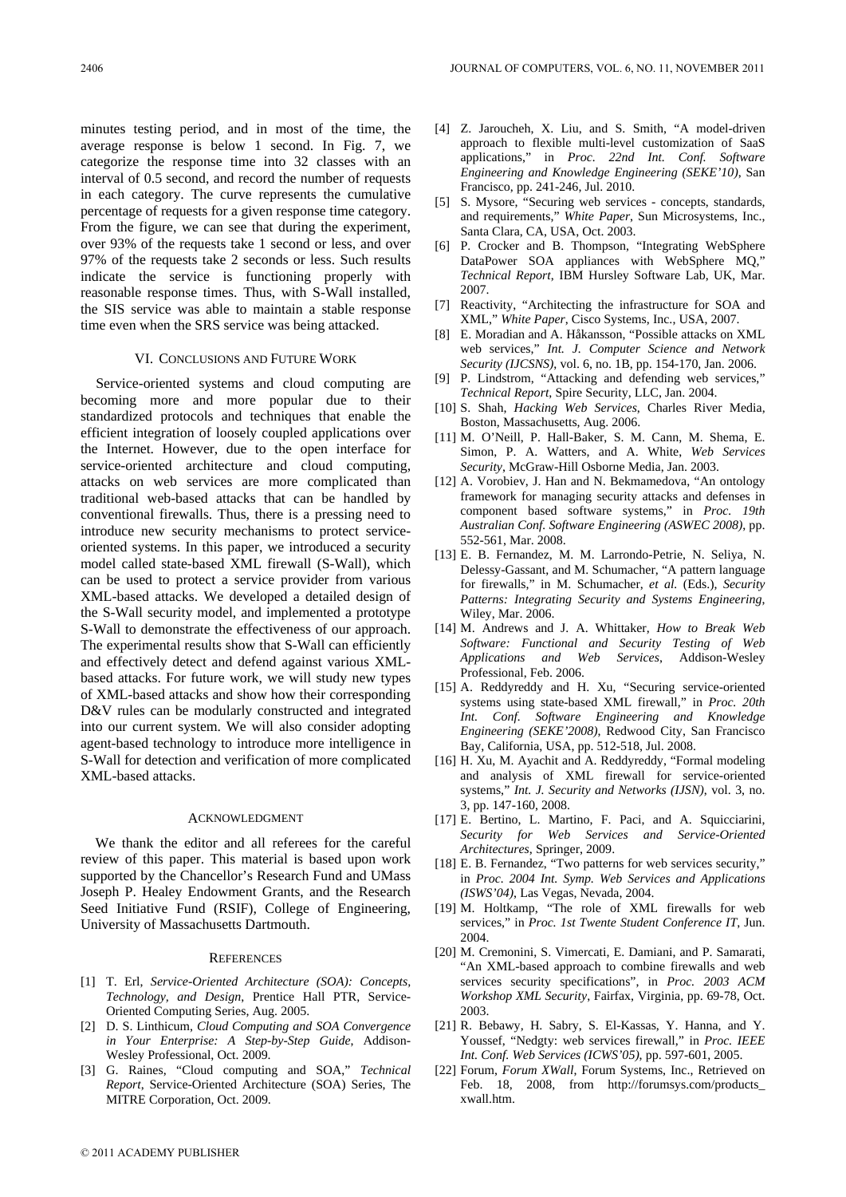minutes testing period, and in most of the time, the average response is below 1 second. In Fig. 7, we categorize the response time into 32 classes with an interval of 0.5 second, and record the number of requests in each category. The curve represents the cumulative percentage of requests for a given response time category. From the figure, we can see that during the experiment, over 93% of the requests take 1 second or less, and over 97% of the requests take 2 seconds or less. Such results indicate the service is functioning properly with reasonable response times. Thus, with S-Wall installed, the SIS service was able to maintain a stable response time even when the SRS service was being attacked.

## VI. CONCLUSIONS AND FUTURE WORK

Service-oriented systems and cloud computing are becoming more and more popular due to their standardized protocols and techniques that enable the efficient integration of loosely coupled applications over the Internet. However, due to the open interface for service-oriented architecture and cloud computing, attacks on web services are more complicated than traditional web-based attacks that can be handled by conventional firewalls. Thus, there is a pressing need to introduce new security mechanisms to protect serviceoriented systems. In this paper, we introduced a security model called state-based XML firewall (S-Wall), which can be used to protect a service provider from various XML-based attacks. We developed a detailed design of the S-Wall security model, and implemented a prototype S-Wall to demonstrate the effectiveness of our approach. The experimental results show that S-Wall can efficiently and effectively detect and defend against various XMLbased attacks. For future work, we will study new types of XML-based attacks and show how their corresponding D&V rules can be modularly constructed and integrated into our current system. We will also consider adopting agent-based technology to introduce more intelligence in S-Wall for detection and verification of more complicated XML-based attacks.

## ACKNOWLEDGMENT

We thank the editor and all referees for the careful review of this paper. This material is based upon work supported by the Chancellor's Research Fund and UMass Joseph P. Healey Endowment Grants, and the Research Seed Initiative Fund (RSIF), College of Engineering, University of Massachusetts Dartmouth.

## **REFERENCES**

- [1] T. Erl, *Service-Oriented Architecture (SOA): Concepts, Technology, and Design*, Prentice Hall PTR, Service-Oriented Computing Series, Aug. 2005.
- [2] D. S. Linthicum, *Cloud Computing and SOA Convergence in Your Enterprise: A Step-by-Step Guide*, Addison-Wesley Professional, Oct. 2009.
- [3] G. Raines, "Cloud computing and SOA," *Technical Report*, Service-Oriented Architecture (SOA) Series, The MITRE Corporation, Oct. 2009.
- [4] Z. Jaroucheh, X. Liu, and S. Smith, "A model-driven approach to flexible multi-level customization of SaaS applications," in *Proc. 22nd Int. Conf. Software Engineering and Knowledge Engineering (SEKE'10)*, San Francisco, pp. 241-246, Jul. 2010.
- [5] S. Mysore, "Securing web services concepts, standards, and requirements," *White Paper*, Sun Microsystems, Inc., Santa Clara, CA, USA, Oct. 2003.
- [6] P. Crocker and B. Thompson, "Integrating WebSphere DataPower SOA appliances with WebSphere MQ," *Technical Report*, IBM Hursley Software Lab, UK, Mar. 2007.
- [7] Reactivity, "Architecting the infrastructure for SOA and XML," *White Paper*, Cisco Systems, Inc., USA, 2007.
- [8] E. Moradian and A. Håkansson, "Possible attacks on XML web services," *Int. J. Computer Science and Network Security (IJCSNS)*, vol. 6, no. 1B, pp. 154-170, Jan. 2006.
- [9] P. Lindstrom, "Attacking and defending web services," *Technical Report*, Spire Security, LLC, Jan. 2004.
- [10] S. Shah, *Hacking Web Services*, Charles River Media, Boston, Massachusetts, Aug. 2006.
- [11] M. O'Neill, P. Hall-Baker, S. M. Cann, M. Shema, E. Simon, P. A. Watters, and A. White, *Web Services Security*, McGraw-Hill Osborne Media, Jan. 2003.
- [12] A. Vorobiev, J. Han and N. Bekmamedova, "An ontology framework for managing security attacks and defenses in component based software systems," in *Proc. 19th Australian Conf. Software Engineering (ASWEC 2008)*, pp. 552-561, Mar. 2008.
- [13] E. B. Fernandez, M. M. Larrondo-Petrie, N. Seliya, N. Delessy-Gassant, and M. Schumacher, "A pattern language for firewalls," in M. Schumacher, *et al.* (Eds.), *Security Patterns: Integrating Security and Systems Engineering*, Wiley, Mar. 2006.
- [14] M. Andrews and J. A. Whittaker, *How to Break Web Software: Functional and Security Testing of Web Applications and Web Services*, Addison-Wesley Professional, Feb. 2006.
- [15] A. Reddyreddy and H. Xu, "Securing service-oriented systems using state-based XML firewall," in *Proc. 20th Int. Conf. Software Engineering and Knowledge Engineering (SEKE'2008)*, Redwood City, San Francisco Bay, California, USA, pp. 512-518, Jul. 2008.
- [16] H. Xu, M. Ayachit and A. Reddyreddy, "Formal modeling and analysis of XML firewall for service-oriented systems," *Int. J. Security and Networks (IJSN)*, vol. 3, no. 3, pp. 147-160, 2008.
- [17] E. Bertino, L. Martino, F. Paci, and A. Squicciarini, *Security for Web Services and Service-Oriented Architectures*, Springer, 2009.
- [18] E. B. Fernandez, "Two patterns for web services security," in *Proc. 2004 Int. Symp. Web Services and Applications (ISWS'04)*, Las Vegas, Nevada, 2004.
- [19] M. Holtkamp, "The role of XML firewalls for web services," in *Proc. 1st Twente Student Conference IT*, Jun. 2004.
- [20] M. Cremonini, S. Vimercati, E. Damiani, and P. Samarati, "An XML-based approach to combine firewalls and web services security specifications", in *Proc. 2003 ACM Workshop XML Security*, Fairfax, Virginia, pp. 69-78, Oct. 2003.
- [21] R. Bebawy, H. Sabry, S. El-Kassas, Y. Hanna, and Y. Youssef, "Nedgty: web services firewall," in *Proc. IEEE Int. Conf. Web Services (ICWS'05)*, pp. 597-601, 2005.
- [22] Forum, *Forum XWall*, Forum Systems, Inc., Retrieved on Feb. 18, 2008, from http://forumsys.com/products\_ xwall.htm.